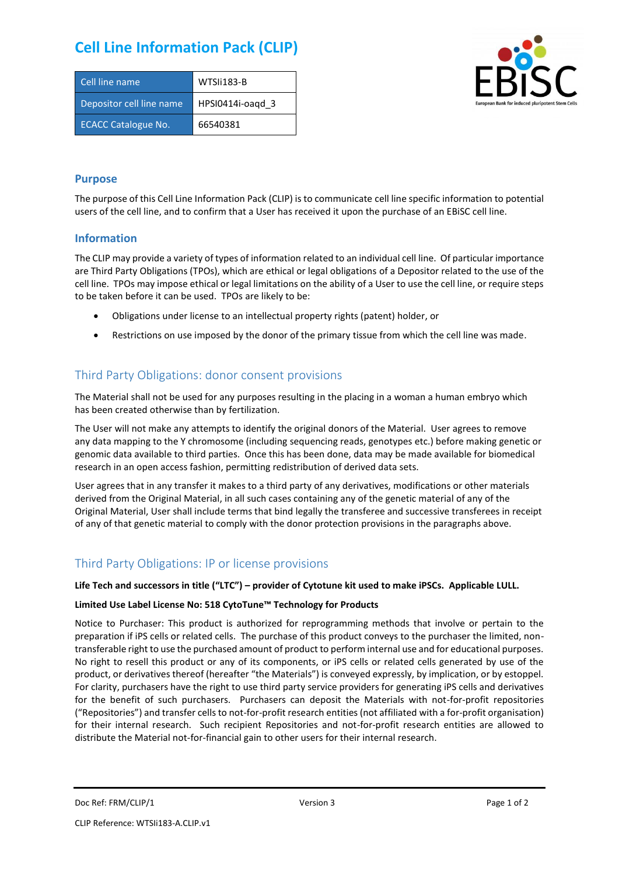# **Cell Line Information Pack (CLIP)**

| Cell line name             | WTSIi183-B       |
|----------------------------|------------------|
| Depositor cell line name   | HPSI0414i-oagd 3 |
| <b>ECACC Catalogue No.</b> | 66540381         |



### **Purpose**

The purpose of this Cell Line Information Pack (CLIP) is to communicate cell line specific information to potential users of the cell line, and to confirm that a User has received it upon the purchase of an EBiSC cell line.

#### **Information**

The CLIP may provide a variety of types of information related to an individual cell line. Of particular importance are Third Party Obligations (TPOs), which are ethical or legal obligations of a Depositor related to the use of the cell line. TPOs may impose ethical or legal limitations on the ability of a User to use the cell line, or require steps to be taken before it can be used. TPOs are likely to be:

- Obligations under license to an intellectual property rights (patent) holder, or
- Restrictions on use imposed by the donor of the primary tissue from which the cell line was made.

## Third Party Obligations: donor consent provisions

The Material shall not be used for any purposes resulting in the placing in a woman a human embryo which has been created otherwise than by fertilization.

The User will not make any attempts to identify the original donors of the Material. User agrees to remove any data mapping to the Y chromosome (including sequencing reads, genotypes etc.) before making genetic or genomic data available to third parties. Once this has been done, data may be made available for biomedical research in an open access fashion, permitting redistribution of derived data sets.

User agrees that in any transfer it makes to a third party of any derivatives, modifications or other materials derived from the Original Material, in all such cases containing any of the genetic material of any of the Original Material, User shall include terms that bind legally the transferee and successive transferees in receipt of any of that genetic material to comply with the donor protection provisions in the paragraphs above.

## Third Party Obligations: IP or license provisions

#### **Life Tech and successors in title ("LTC") – provider of Cytotune kit used to make iPSCs. Applicable LULL.**

#### **Limited Use Label License No: 518 CytoTune™ Technology for Products**

Notice to Purchaser: This product is authorized for reprogramming methods that involve or pertain to the preparation if iPS cells or related cells. The purchase of this product conveys to the purchaser the limited, nontransferable right to use the purchased amount of product to perform internal use and for educational purposes. No right to resell this product or any of its components, or iPS cells or related cells generated by use of the product, or derivatives thereof (hereafter "the Materials") is conveyed expressly, by implication, or by estoppel. For clarity, purchasers have the right to use third party service providers for generating iPS cells and derivatives for the benefit of such purchasers. Purchasers can deposit the Materials with not-for-profit repositories ("Repositories") and transfer cells to not-for-profit research entities (not affiliated with a for-profit organisation) for their internal research. Such recipient Repositories and not-for-profit research entities are allowed to distribute the Material not-for-financial gain to other users for their internal research.

Doc Ref: FRM/CLIP/1 **Docessity** Version 3 **Page 1 of 2** Page 1 of 2